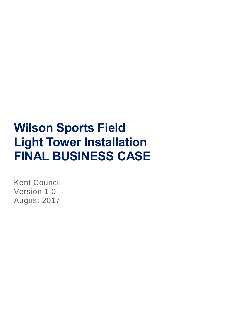# **Wilson Sports Field Light Tower Installation FINAL BUSINESS CASE**

Kent Council Version 1.0 August 2017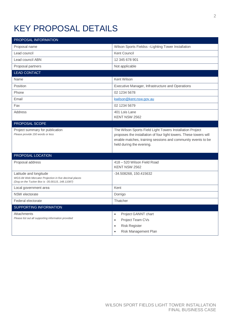## KEY PROPOSAL DETAILS

| PROPOSAL INFORMATION                                                                                                               |                                                                                                                                                                                                                            |
|------------------------------------------------------------------------------------------------------------------------------------|----------------------------------------------------------------------------------------------------------------------------------------------------------------------------------------------------------------------------|
| Proposal name                                                                                                                      | Wilson Sports Fieldss -Lighting Tower Installation                                                                                                                                                                         |
| Lead council                                                                                                                       | Kent Council                                                                                                                                                                                                               |
| Lead council ABN                                                                                                                   | 12 345 678 901                                                                                                                                                                                                             |
| Proposal partners                                                                                                                  | Not applicable                                                                                                                                                                                                             |
| <b>LEAD CONTACT</b>                                                                                                                |                                                                                                                                                                                                                            |
| Name                                                                                                                               | Kent Wilson                                                                                                                                                                                                                |
| Position                                                                                                                           | Executive Manager, Infrastructure and Operations                                                                                                                                                                           |
| Phone                                                                                                                              | 02 1234 5678                                                                                                                                                                                                               |
| Email                                                                                                                              | kwilson@kent.nsw.gov.au                                                                                                                                                                                                    |
| Fax                                                                                                                                | 02 1234 5679                                                                                                                                                                                                               |
| Address                                                                                                                            | 401 Lois Lane<br>KENT NSW 2562                                                                                                                                                                                             |
| PROPOSAL SCOPE                                                                                                                     |                                                                                                                                                                                                                            |
| Project summary for publication<br>Please provide 150 words or less                                                                | The Wilson Sports Field Light Towers Installation Project<br>proposes the installation of four light towers. These towers will<br>enable matches, training sessions and community events to be<br>held during the evening. |
| PROPOSAL LOCATION                                                                                                                  |                                                                                                                                                                                                                            |
| Proposal address                                                                                                                   | 418 - 520 Wilson Field Road<br>KENT NSW 2562                                                                                                                                                                               |
| Latitude and longitude<br>WGS-84 Web Mercator Projection in five decimal places<br>(Dog on the Tucker Box is -35.00115, 148.11087) | -34.508268, 150.415632                                                                                                                                                                                                     |
| Local government area                                                                                                              | Kent                                                                                                                                                                                                                       |
| NSW electorate                                                                                                                     | Dorrigo                                                                                                                                                                                                                    |
| Federal electorate                                                                                                                 | Thatcher                                                                                                                                                                                                                   |
| SUPPORTING INFORMATION                                                                                                             |                                                                                                                                                                                                                            |
| Attachments                                                                                                                        | Project GANNT chart<br>$\bullet$                                                                                                                                                                                           |
| Please list out all supporting information provided                                                                                | Project Team CVs<br>$\bullet$                                                                                                                                                                                              |
|                                                                                                                                    | <b>Risk Register</b><br>$\bullet$                                                                                                                                                                                          |
|                                                                                                                                    | Risk Management Plan<br>$\bullet$                                                                                                                                                                                          |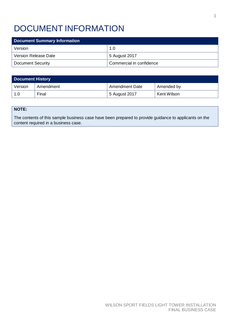## DOCUMENT INFORMATION

| <b>Document Summary Information</b> |                          |  |  |  |
|-------------------------------------|--------------------------|--|--|--|
| Version                             | 1.0                      |  |  |  |
| <b>Version Release Date</b>         | 5 August 2017            |  |  |  |
| <b>Document Security</b>            | Commercial in confidence |  |  |  |

| <b>Document History</b> |           |                  |             |  |  |  |
|-------------------------|-----------|------------------|-------------|--|--|--|
| Version                 | Amendment | ' Amendment Date | Amended by  |  |  |  |
| 1.0                     | Final     | 5 August 2017    | Kent Wilson |  |  |  |

#### **NOTE:**

The contents of this sample business case have been prepared to provide guidance to applicants on the content required in a business case.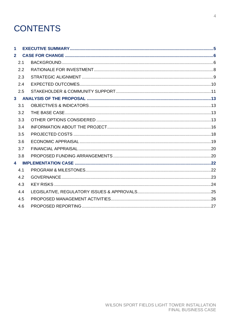## **CONTENTS**

| $\mathbf{1}$            |     |  |
|-------------------------|-----|--|
| $\overline{2}$          |     |  |
|                         | 2.1 |  |
|                         | 2.2 |  |
|                         | 2.3 |  |
|                         | 2.4 |  |
|                         | 2.5 |  |
|                         |     |  |
|                         | 3.1 |  |
|                         | 3.2 |  |
|                         | 3.3 |  |
|                         | 3.4 |  |
|                         | 3.5 |  |
|                         | 3.6 |  |
|                         | 3.7 |  |
|                         | 3.8 |  |
| $\overline{\mathbf{4}}$ |     |  |
|                         | 4.1 |  |
|                         | 4.2 |  |
|                         | 4.3 |  |
|                         | 4.4 |  |
|                         | 4.5 |  |
|                         | 4.6 |  |
|                         |     |  |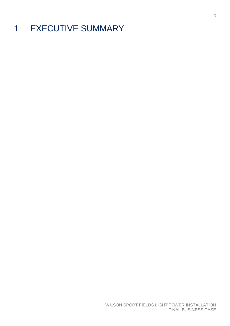## <span id="page-4-0"></span>1 EXECUTIVE SUMMARY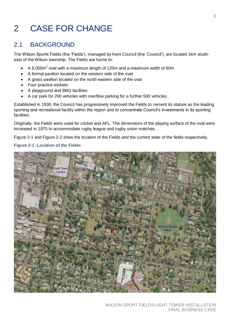## <span id="page-5-0"></span>2 CASE FOR CHANGE

### <span id="page-5-1"></span>2.1 BACKGROUND

The Wilson Sports Fields (the 'Fields'), managed by Kent Council (the 'Council'), are located 1km southeast of the Wilson township. The Fields are home to:

- $\bullet$  A 6,000m<sup>2</sup> oval with a maximum length of 120m and a maximum width of 60m
- A formal pavilion located on the western side of the oval
- A grass pavilion located on the north-eastern side of the oval
- Four practice wickets
- A playground and BBQ facilities
- A car park for 200 vehicles with overflow parking for a further 500 vehicles.

Established in 1930, the Council has progressively improved the Fields to cement its stature as the leading sporting and recreational facility within the region and to concentrate Council's investments in its sporting facilities.

Originally, the Fields were used for cricket and AFL. The dimensions of the playing surface of the oval were increased in 1975 to accommodate rugby league and rugby union matches.

Figure 2-1 and Figure 2-2 show the location of the Fields and the current state of the fields respectively.

#### **Figure 2-1: Location of the Fields**

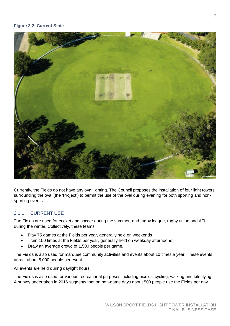

Currently, the Fields do not have any oval lighting. The Council proposes the installation of four light towers surrounding the oval (the 'Project') to permit the use of the oval during evening for both sporting and nonsporting events.

#### 2.1.1 CURRENT USE

The Fields are used for cricket and soccer during the summer, and rugby league, rugby union and AFL during the winter. Collectively, these teams:

- Play 75 games at the Fields per year, generally held on weekends
- Train 150 times at the Fields per year, generally held on weekday afternoons
- Draw an average crowd of 1,500 people per game.

The Fields is also used for marquee community activities and events about 10 times a year. These events attract about 5,000 people per event.

All events are held during daylight hours.

The Fields is also used for various recreational purposes including picnics, cycling, walking and kite flying. A survey undertaken in 2016 suggests that on non-game days about 500 people use the Fields per day.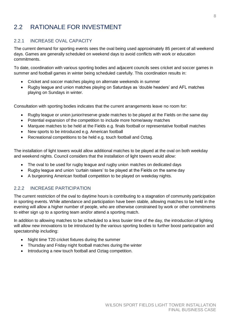## <span id="page-7-0"></span>2.2 RATIONALE FOR INVESTMENT

#### 2.2.1 INCREASE OVAL CAPACITY

The current demand for sporting events sees the oval being used approximately 85 percent of all weekend days. Games are generally scheduled on weekend days to avoid conflicts with work or education commitments.

To date, coordination with various sporting bodies and adjacent councils sees cricket and soccer games in summer and football games in winter being scheduled carefully. This coordination results in:

- Cricket and soccer matches playing on alternate weekends in summer
- Rugby league and union matches playing on Saturdays as 'double headers' and AFL matches playing on Sundays in winter.

Consultation with sporting bodies indicates that the current arrangements leave no room for:

- Rugby league or union junior/reserve grade matches to be played at the Fields on the same day
- Potential expansion of the competition to include more home/away matches
- Marquee matches to be held at the Fields e.g. finals football or representative football matches
- New sports to be introduced e.g. American football
- Recreational competitions to be held e.g. touch football and Oztag.

The installation of light towers would allow additional matches to be played at the oval on both weekday and weekend nights. Council considers that the installation of light towers would allow:

- The oval to be used for rugby league and rugby union matches on dedicated days
- Rugby league and union 'curtain raisers' to be played at the Fields on the same day
- A burgeoning American football competition to be played on weekday nights.

#### 2.2.2 INCREASE PARTICIPATION

The current restriction of the oval to daytime hours is contributing to a stagnation of community participation in sporting events. While attendance and participation have been stable, allowing matches to be held in the evening will allow a higher number of people, who are otherwise constrained by work or other commitments to either sign up to a sporting team and/or attend a sporting match.

In addition to allowing matches to be scheduled to a less busier time of the day, the introduction of lighting will allow new innovations to be introduced by the various sporting bodies to further boost participation and spectatorship including:

- Night time T20 cricket fixtures during the summer
- Thursday and Friday night football matches during the winter
- Introducing a new touch football and Oztag competition.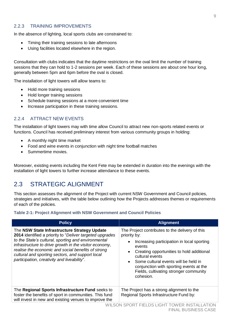#### 2.2.3 TRAINING IMPROVEMENTS

In the absence of lighting, local sports clubs are constrained to:

- Timing their training sessions to late afternoons
- Using facilities located elsewhere in the region.

Consultation with clubs indicates that the daytime restrictions on the oval limit the number of training sessions that they can hold to 1-2 sessions per week. Each of these sessions are about one hour long, generally between 5pm and 6pm before the oval is closed.

The installation of light towers will allow teams to:

- Hold more training sessions
- Hold longer training sessions
- Schedule training sessions at a more convenient time
- Increase participation in these training sessions.

#### 2.2.4 ATTRACT NEW EVENTS

The installation of light towers may with time allow Council to attract new non-sports related events or functions. Council has received preliminary interest from various community groups in holding:

- A monthly night time market
- Food and wine events in conjunction with night time football matches
- Summertime movies.

Moreover, existing events including the Kent Fete may be extended in duration into the evenings with the installation of light towers to further increase attendance to these events.

### <span id="page-8-0"></span>2.3 STRATEGIC ALIGNMENT

This section assesses the alignment of the Project with current NSW Government and Council policies, strategies and initiatives, with the table below outlining how the Projects addresses themes or requirements of each of the policies.

#### **Table 2-1: Project Alignment with NSW Government and Council Policies**

| <b>Policy</b>                                                                                                                                                                                                                                                                                                                                                                       | <b>Alignment</b>                                                                                                                                                                                                                                                                                                                                                         |
|-------------------------------------------------------------------------------------------------------------------------------------------------------------------------------------------------------------------------------------------------------------------------------------------------------------------------------------------------------------------------------------|--------------------------------------------------------------------------------------------------------------------------------------------------------------------------------------------------------------------------------------------------------------------------------------------------------------------------------------------------------------------------|
| The NSW State Infrastructure Strategy Update<br>2014 identified a priority to "Deliver targeted upgrades"<br>to the State's cultural, sporting and environmental<br>infrastructure to drive growth in the visitor economy,<br>realise the economic and social benefits of strong<br>cultural and sporting sectors, and support local<br>participation, creativity and liveability". | The Project contributes to the delivery of this<br>priority by:<br>Increasing participation in local sporting<br>$\bullet$<br>events<br>Creating opportunities to hold additional<br>$\bullet$<br>cultural events<br>Some cultural events will be held in<br>$\bullet$<br>conjunction with sporting events at the<br>Fields, cultivating stronger community<br>cohesion. |
| The Regional Sports Infrastructure Fund seeks to<br>foster the benefits of sport in communities. This fund<br>will invest in new and existing venues to improve the                                                                                                                                                                                                                 | The Project has a strong alignment to the<br>Regional Sports Infrastructure Fund by:                                                                                                                                                                                                                                                                                     |
|                                                                                                                                                                                                                                                                                                                                                                                     | WILSON SPORT FIELDS LIGHT TOWER INSTALLATION<br><b>FINAL BUSINESS CASE</b>                                                                                                                                                                                                                                                                                               |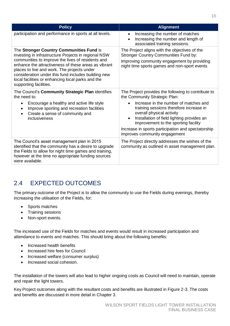| <b>Policy</b>                                                                                                                                                                                                                                                                                                                                                                                      | <b>Alignment</b>                                                                                                                                                                             |
|----------------------------------------------------------------------------------------------------------------------------------------------------------------------------------------------------------------------------------------------------------------------------------------------------------------------------------------------------------------------------------------------------|----------------------------------------------------------------------------------------------------------------------------------------------------------------------------------------------|
| participation and performance in sports at all levels.                                                                                                                                                                                                                                                                                                                                             | Increasing the number of matches<br>$\bullet$<br>Increasing the number and length of<br>$\bullet$<br>associated training sessions.                                                           |
| The Stronger Country Communities Fund is<br>investing in infrastructure Projects in regional NSW<br>communities to improve the lives of residents and<br>enhance the attractiveness of these areas as vibrant<br>places to live and work. The projects under<br>consideration under this fund includes building new<br>local facilities or enhancing local parks and the<br>supporting facilities. | The Project aligns with the objectives of the<br><b>Stronger Country Communities Fund by:</b><br>Improving community engagement by providing<br>night time sports games and non-sport events |
| The Council's Community Strategic Plan identifies<br>the need to:<br>Encourage a healthy and active life style<br>$\bullet$                                                                                                                                                                                                                                                                        | The Project provides the following to contribute to<br>the Community Strategic Plan:<br>Increase in the number of matches and<br>$\bullet$                                                   |
| Improve sporting and recreation facilities<br>$\bullet$<br>Create a sense of community and<br>$\bullet$<br>inclusiveness                                                                                                                                                                                                                                                                           | training sessions therefore increase in<br>overall physical activity<br>Installation of field lighting provides an<br>$\bullet$<br>improvement to the sporting facility                      |
|                                                                                                                                                                                                                                                                                                                                                                                                    | Increase in sports participation and spectatorship<br>improves community engagement                                                                                                          |
| The Council's asset management plan in 2015<br>identified that the community has a desire to upgrade<br>the Fields to allow for night time games and training,<br>however at the time no appropriate funding sources<br>were available.                                                                                                                                                            | The Project directly addresses the wishes of the<br>community as outlined in asset management plan.                                                                                          |

## <span id="page-9-0"></span>2.4 EXPECTED OUTCOMES

The primary outcome of the Project is to allow the community to use the Fields during evenings, thereby increasing the utilisation of the Fields, for:

- Sports matches
- Training sessions
- Non-sport events.

The increased use of the Fields for matches and events would result in increased participation and attendance to events and matches. This should bring about the following benefits:

- Increased health benefits
- Increased hire fees for Council
- Increased welfare (consumer surplus)
- Increased social cohesion.

The installation of the towers will also lead to higher ongoing costs as Council will need to maintain, operate and repair the light towers.

Key Project outcomes along with the resultant costs and benefits are illustrated in Figure 2-3. The costs and benefits are discussed in more detail in Chapter 3.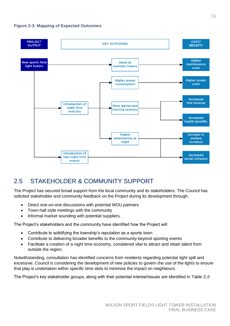

## <span id="page-10-0"></span>2.5 STAKEHOLDER & COMMUNITY SUPPORT

The Project has secured broad support from the local community and its stakeholders. The Council has solicited stakeholder and community feedback on the Project during its development through:

- Direct one-on-one discussions with potential MOU partners
- Town-hall style meetings with the community
- Informal market sounding with potential suppliers.

The Project's stakeholders and the community have identified how the Project will:

- Contribute to solidifying the township's reputation as a sports town
- Contribute to delivering broader benefits to the community beyond sporting events
- Facilitate a creation of a night time economy, considered vital to attract and retain talent from outside the region.

Notwithstanding, consultation has identified concerns from residents regarding potential light spill and excessive. Council is considering the development of new policies to govern the use of the lights to ensure that play is undertaken within specific time slots to minimise the impact on neighbours.

The Project's key stakeholder groups, along with their potential interest/issues are identified in [Table 2-2:](#page-11-1)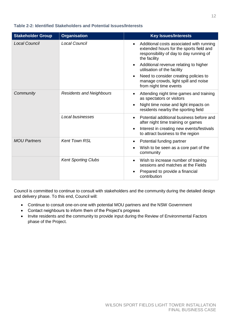<span id="page-11-1"></span>

| Table 2-2: Identified Stakeholders and Potential Issues/Interests |  |
|-------------------------------------------------------------------|--|
|-------------------------------------------------------------------|--|

| <b>Stakeholder Group</b> | <b>Organisation</b>             | <b>Key Issues/Interests</b>                                                                                                                                                                                                                                                                                                            |
|--------------------------|---------------------------------|----------------------------------------------------------------------------------------------------------------------------------------------------------------------------------------------------------------------------------------------------------------------------------------------------------------------------------------|
| <b>Local Council</b>     | Local Council                   | Additional costs associated with running<br>٠<br>extended hours for the sports field and<br>responsibility of day to day running of<br>the facility<br>Additional revenue relating to higher<br>utilisation of the facility<br>Need to consider creating policies to<br>manage crowds, light spill and noise<br>from night time events |
| Community                | <b>Residents and Neighbours</b> | Attending night time games and training<br>as spectators or visitors<br>Night time noise and light impacts on<br>residents nearby the sporting field                                                                                                                                                                                   |
|                          | Local businesses                | Potential additional business before and<br>after night time training or games<br>Interest in creating new events/festivals<br>to attract business to the region                                                                                                                                                                       |
| <b>MOU Partners</b>      | <b>Kent Town RSL</b>            | Potential funding partner<br>Wish to be seen as a core part of the<br>community                                                                                                                                                                                                                                                        |
|                          | <b>Kent Sporting Clubs</b>      | Wish to increase number of training<br>$\bullet$<br>sessions and matches at the Fields<br>Prepared to provide a financial<br>contribution                                                                                                                                                                                              |

Council is committed to continue to consult with stakeholders and the community during the detailed design and delivery phase. To this end, Council will:

- Continue to consult one-on-one with potential MOU partners and the NSW Government
- Contact neighbours to inform them of the Project's progress
- <span id="page-11-0"></span>• Invite residents and the community to provide input during the Review of Environmental Factors phase of the Project.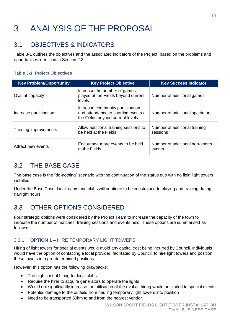## 3 ANALYSIS OF THE PROPOSAL

## <span id="page-12-0"></span>3.1 OBJECTIVES & INDICATORS

[Table 3-1](#page-12-3) outlines the objectives and the associated indicators of the Project, based on the problems and opportunities identified in Section 2.2.

#### <span id="page-12-3"></span>**Table 3-1: Project Objectives**

| <b>Key Problem/Opportunity</b> | <b>Key Project Objective</b>                                                                                 | <b>Key Success Indicator</b>              |
|--------------------------------|--------------------------------------------------------------------------------------------------------------|-------------------------------------------|
| Oval at capacity               | Increase the number of games<br>played at the Fields beyond current<br>levels                                | Number of additional games                |
| Increase participation         | Increase community participation<br>and attendance to sporting events at<br>the Fields beyond current levels | Number of additional spectators           |
| Training improvements          | Allow additional training sessions to<br>be held at the Fields                                               | Number of additional training<br>sessions |
| Attract new events             | Encourage more events to be held<br>at the Fields                                                            | Number of additional non-sports<br>events |

## <span id="page-12-1"></span>3.2 THE BASE CASE

The base case is the "do-nothing" scenario with the continuation of the status quo with no field light towers installed.

Under the Base Case, local teams and clubs will continue to be constrained to playing and training during daylight hours.

## <span id="page-12-2"></span>3.3 OTHER OPTIONS CONSIDERED

Four strategic options were considered by the Project Team to increase the capacity of the town to increase the number of matches, training sessions and events held. These options are summarised as follows:

#### 3.3.1 OPTION 1 – HIRE TEMPORARY LIGHT TOWERS

Hiring of light towers for special events would avoid any capital cost being incurred by Council. Individuals would have the option of contacting a local provider, facilitated by Council, to hire light towers and position these towers into pre-determined positions.

However, this option has the following drawbacks:

- The high cost of hiring for local clubs
- Require the hirer to acquire generators to operate the lights
- Would not significantly increase the utilisation of the oval as hiring would be limited to special events
- Potential damage to the outfield from hauling temporary light towers into position
- Need to be transported 50km to and from the nearest vendor.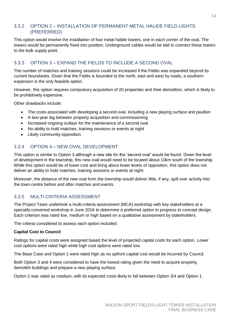#### 3.3.2 OPTION 2 – INSTALLATION OF PERMANENT METAL HALIDE FIELD LIGHTS (PREFERRED)

This option would involve the installation of four metal halide towers, one in each corner of the oval. The towers would be permanently fixed into position. Underground cables would be laid to connect these towers to the bulk supply point.

#### 3.3.3 OPTION 3 – EXPAND THE FIELDS TO INCLUDE A SECOND OVAL

The number of matches and training sessions could be increased if the Fields was expanded beyond its current boundaries. Given that the Fields is bounded to the north, east and west by roads, a southern expansion is the only feasible option.

However, this option requires compulsory acquisition of 20 properties and their demolition, which is likely to be prohibitively expensive.

Other drawbacks include:

- The costs associated with developing a second oval, including a new playing surface and pavilion
- A two-year lag between property acquisition and commissioning
- Increased ongoing outlays for the maintenance of a second oval
- No ability to hold matches, training sessions or events at night
- Likely community opposition.

#### 3.3.4 OPTION 4 – NEW OVAL DEVELOPMENT

This option is similar to Option 3 although a new site for the 'second oval' would be found. Given the level of development in the township, this new oval would need to be located about 10km south of the township. While this option would be of lower cost and bring about lower levels of opposition, this option does not deliver an ability to hold matches, training sessions or events at night.

Moreover, the distance of the new oval from the township would deliver little, if any, spill over activity into the town centre before and after matches and events.

#### 3.3.5 MULTI-CRITERIA ASSESSMENT

The Project Team undertook a multi-criteria assessment (MCA) workshop with key stakeholders at a specially convened workshop in June 2016 to determine a preferred option to progress to concept design. Each criterion was rated low, medium or high based on a qualitative assessment by stakeholders.

The criteria considered to assess each option included:

#### **Capital Cost to Council**

Ratings for capital costs were assigned based the level of projected capital costs for each option. Lower cost options were rated high while high cost options were rated low.

The Base Case and Option 1 were rated high as no upfront capital cost would be incurred by Council.

Both Option 3 and 4 were considered to have the lowest rating given the need to acquire property, demolish buildings and prepare a new playing surface.

Option 2 was rated as medium, with its expected costs likely to fall between Option 3/4 and Option 1.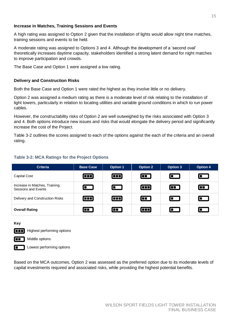#### **Increase in Matches, Training Sessions and Events**

A high rating was assigned to Option 2 given that the installation of lights would allow night time matches, training sessions and events to be held.

A moderate rating was assigned to Options 3 and 4. Although the development of a 'second oval' theoretically increases daytime capacity, stakeholders identified a strong latent demand for night matches to improve participation and crowds.

The Base Case and Option 1 were assigned a low rating.

#### **Delivery and Construction Risks**

Both the Base Case and Option 1 were rated the highest as they involve little or no delivery.

Option 2 was assigned a medium rating as there is a moderate level of risk relating to the installation of light towers, particularly in relation to locating utilities and variable ground conditions in which to run power cables.

However, the constructability risks of Option 2 are well outweighed by the risks associated with Option 3 and 4. Both options introduce new issues and risks that would elongate the delivery period and significantly increase the cost of the Project.

[Table 3-2](#page-14-1) outlines the scores assigned to each of the options against the each of the criteria and an overall rating.

#### <span id="page-14-1"></span>**Table 3-2: MCA Ratings for the Project Options**

| <b>Criteria</b>                                      | <b>Base Case</b> | <b>Option 1</b> | <b>Option 2</b> | <b>Option 3</b> | <b>Option 4</b> |
|------------------------------------------------------|------------------|-----------------|-----------------|-----------------|-----------------|
| <b>Capital Cost</b>                                  | $\Box$           | $\Box$          | $\Box$          | $\Box$          | $\blacksquare$  |
| Increase in Matches, Training<br>Sessions and Events | $\Box$           | $\blacksquare$  | œ               | $\blacksquare$  | $\Box$          |
| Delivery and Construction Risks                      | ŒD               | ŒD              | $\blacksquare$  | $\Box$          | $\blacksquare$  |
| <b>Overall Rating</b>                                | $\blacksquare$   | $\Box$          | $\Box$          | $\Box$          | $\blacksquare$  |

**Key**

**Highest performing options** 



Middle options

Lowest performing options

<span id="page-14-0"></span>Based on the MCA outcomes, Option 2 was assessed as the preferred option due to its moderate levels of capital investments required and associated risks, while providing the highest potential benefits.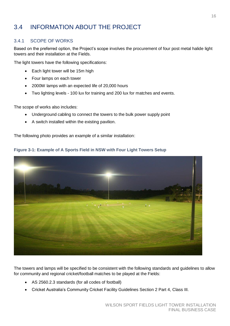## 3.4 INFORMATION ABOUT THE PROJECT

#### 3.4.1 SCOPE OF WORKS

Based on the preferred option, the Project's scope involves the procurement of four post metal halide light towers and their installation at the Fields.

The light towers have the following specifications:

- Each light tower will be 15m high
- Four lamps on each tower
- 2000W lamps with an expected life of 20,000 hours
- Two lighting levels 100 lux for training and 200 lux for matches and events.

The scope of works also includes:

- Underground cabling to connect the towers to the bulk power supply point
- A switch installed within the existing pavilion.

The following photo provides an example of a similar installation:



#### **Figure 3-1: Example of A Sports Field in NSW with Four Light Towers Setup**

The towers and lamps will be specified to be consistent with the following standards and guidelines to allow for community and regional cricket/football matches to be played at the Fields:

- AS 2560.2.3 standards (for all codes of football)
- Cricket Australia's Community Cricket Facility Guidelines Section 2 Part 4, Class III.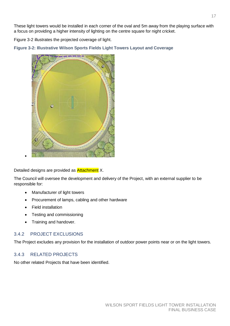These light towers would be installed in each corner of the oval and 5m away from the playing surface with a focus on providing a higher intensity of lighting on the centre square for night cricket.

Figure 3-2 illustrates the projected coverage of light.

**Figure 3-2: Illustrative Wilson Sports Fields Light Towers Layout and Coverage**



Detailed designs are provided as **Attachment** X.

The Council will oversee the development and delivery of the Project, with an external supplier to be responsible for:

- Manufacturer of light towers
- Procurement of lamps, cabling and other hardware
- Field installation
- Testing and commissioning
- Training and handover.

#### 3.4.2 PROJECT EXCLUSIONS

The Project excludes any provision for the installation of outdoor power points near or on the light towers.

#### 3.4.3 RELATED PROJECTS

No other related Projects that have been identified.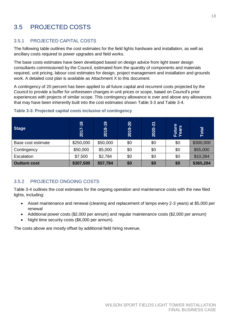## <span id="page-17-0"></span>3.5 PROJECTED COSTS

#### 3.5.1 PROJECTED CAPITAL COSTS

The following table outlines the cost estimates for the field lights hardware and installation, as well as ancillary costs required to power upgrades and field works.

The base costs estimates have been developed based on design advice from light tower design consultants commissioned by the Council, estimated from the quantity of components and materials required, unit pricing, labour cost estimates for design, project management and installation and grounds work. A detailed cost plan is available as Attachment X to this document.

A contingency of 20 percent has been applied to all future capital and recurrent costs projected by the Council to provide a buffer for unforeseen changes in unit prices or scope, based on Council's prior experiences with projects of similar scope. This contingency allowance is over and above any allowances that may have been inherently built into the cost estimates shown [Table 3-3](#page-17-1) and [Table 3-4.](#page-18-1)

| <b>Stage</b>        | $\infty$<br>$\overline{1}$<br>201 | $8 - 19$<br>201 | $9 - 20$<br>201 | 2020-21 | Future<br>Years | Total     |
|---------------------|-----------------------------------|-----------------|-----------------|---------|-----------------|-----------|
| Base cost estimate  | \$250,000                         | \$50,000        | \$0             | \$0     | \$0             | \$300,000 |
| Contingency         | \$50,000                          | \$5,000         | \$0             | \$0     | \$0             | \$55,000  |
| Escalation          | \$7,500                           | \$2,784         | \$0             | \$0     | \$0             | \$10,284  |
| <b>Outturn cost</b> | \$307,500                         | \$57,784        | \$0             | \$0     | \$0             | \$365,284 |

#### <span id="page-17-1"></span>**Table 3-3: Projected capital costs inclusive of contingency**

#### 3.5.2 PROJECTED ONGOING COSTS

[Table 3-4](#page-18-1) outlines the cost estimates for the ongoing operation and maintenance costs with the new filed lights, including:

- Asset maintenance and renewal (cleaning and replacement of lamps every 2-3 years) at \$5,000 per renewal
- Additional power costs (\$2,000 per annum) and regular maintenance costs (\$2,000 per annum)
- Night time security costs (\$6,000 per annum).

The costs above are mostly offset by additional field hiring revenue.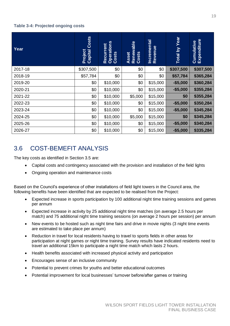#### <span id="page-18-1"></span>**Table 3-4: Projected ongoing costs**

| Year    | Costs<br>Project<br>Capital | <b>Operations</b><br>Costs<br>Recurrent | Renewable<br>Costs<br>Asset | <b>Incremental</b><br>Revenue | Year<br>$\overline{\mathsf{S}}$<br>Total | Cumulative<br>Expenditure |
|---------|-----------------------------|-----------------------------------------|-----------------------------|-------------------------------|------------------------------------------|---------------------------|
| 2017-18 | \$307,500                   | \$0                                     | \$0                         | \$0                           | \$307,500                                | \$307,500                 |
| 2018-19 | \$57,784                    | \$0                                     | \$0                         | \$0                           | \$57,784                                 | \$365,284                 |
| 2019-20 | \$0                         | \$10,000                                | \$0                         | \$15,000                      | $-$5,000$                                | \$360,284                 |
| 2020-21 | \$0                         | \$10,000                                | \$0                         | \$15,000                      | $-$5,000$                                | \$355,284                 |
| 2021-22 | \$0                         | \$10,000                                | \$5,000                     | \$15,000                      | \$0                                      | \$355,284                 |
| 2022-23 | \$0                         | \$10,000                                | \$0                         | \$15,000                      | $-$5,000$                                | \$350,284                 |
| 2023-24 | \$0                         | \$10,000                                | \$0                         | \$15,000                      | $-$5,000$                                | \$345,284                 |
| 2024-25 | \$0                         | \$10,000                                | \$5,000                     | \$15,000                      | \$0                                      | \$345,284                 |
| 2025-26 | \$0                         | \$10,000                                | \$0                         | \$15,000                      | $-$5,000$                                | \$340,284                 |
| 2026-27 | \$0                         | \$10,000                                | \$0                         | \$15,000                      | $-$5,000$                                | \$335,284                 |

## <span id="page-18-0"></span>3.6 COST-BEMEFIT ANALYSIS

The key costs as identified in Section 3.5 are:

- Capital costs and contingency associated with the provision and installation of the field lights
- Ongoing operation and maintenance costs

Based on the Council's experience of other installations of field light towers in the Council area, the following benefits have been identified that are expected to be realised from the Project:

- Expected increase in sports participation by 100 additional night time training sessions and games per annum
- Expected increase in activity by 25 additional night time matches (on average 2.5 hours per match) and 75 additional night time training sessions (on average 2 hours per session) per annum
- New events to be hosted such as night time fairs and drive in movie nights (3 night time events are estimated to take place per annum)
- Reduction in travel for local residents having to travel to sports fields in other areas for participation at night games or night time training. Survey results have indicated residents need to travel an additional 15km to participate a night time match which lasts 2 hours.
- Health benefits associated with increased physical activity and participation
- Encourages sense of an inclusive community
- Potential to prevent crimes for youths and better educational outcomes
- Potential improvement for local businesses' turnover before/after games or training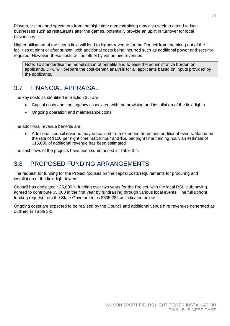Players, visitors and spectators from the night time games/training may also seek to attend to local businesses such as restaurants after the games, potentially provide an uplift in turnover for local businesses.

Higher utilisation of the sports field will lead to higher revenue for the Council from the hiring out of the facilities at night or after sunset, with additional costs being incurred such as additional power and security required. However, these costs will be offset by venue hire revenues.

Note: To standardise the monetisation of benefits and to ease the administrative burden on applicants, DPC will prepare the cost-benefit analysis for all applicants based on inputs provided by the applicants.

### <span id="page-19-0"></span>3.7 FINANCIAL APPRAISAL

The key costs as identified in Section 3.5 are:

- Capital costs and contingency associated with the provision and installation of the field lights
- Ongoing operation and maintenance costs

The additional revenue benefits are:

 Additional council revenue maybe realised from extended hours and additional events. Based on the rate of \$100 per night time match hour and \$50 per night time training hour, an estimate of \$15,000 of additional revenue has been estimated

The cashflows of the projects have been summarised in [Table 3-4.](#page-18-1)

### <span id="page-19-1"></span>3.8 PROPOSED FUNDING ARRANGEMENTS

The request for funding for the Project focuses on the capital costs requirements for procuring and installation of the field light towers.

Council has dedicated \$25,000 in funding over two years for the Project, with the local RSL club having agreed to contribute \$5,000 in the first year by fundraising through various local events. The full upfront funding request from the State Government is \$305,284 as indicated below.

Ongoing costs are expected to be realised by the Council and additional venue hire revenues generated as outlined in [Table 3-5.](#page-20-0)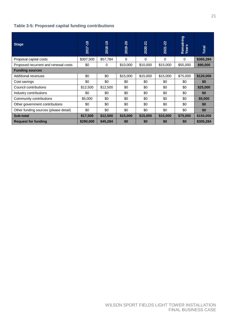#### <span id="page-20-0"></span>**Table 3-5: Proposed capital funding contributions**

| <b>Stage</b>                          | 2017-18   | 2018-19  | 2019-20  | 2020-21  | 2021-22  | Remaining<br>Years | <b>Total</b> |
|---------------------------------------|-----------|----------|----------|----------|----------|--------------------|--------------|
| Proposal capital costs                | \$307,500 | \$57,784 | 0        | 0        | 0        | 0                  | \$365,284    |
| Proposed recurrent and renewal costs  | \$0       | 0        | \$10,000 | \$10,000 | \$15,000 | \$55,000           | \$90,000     |
| <b>Funding sources</b>                |           |          |          |          |          |                    |              |
| Additional revenues                   | \$0       | \$0      | \$15,000 | \$15,000 | \$15,000 | \$75,000           | \$120,000    |
| Cost savings                          | \$0       | \$0      | \$0      | \$0      | \$0      | \$0                | \$0          |
| Council contributions                 | \$12,500  | \$12,500 | \$0      | \$0      | \$0      | \$0                | \$25,000     |
| Industry contributions                | \$0       | \$0      | \$0      | \$0      | \$0      | \$0                | \$0          |
| Community contributions               | \$5,000   | \$0      | \$0      | \$0      | \$0      | \$0                | \$5,000      |
| Other government contributions        | \$0       | \$0      | \$0      | \$0      | \$0      | \$0                | \$0          |
| Other funding sources (please detail) | \$0       | \$0      | \$0      | \$0      | \$0      | \$0                | \$0          |
| Sub-total                             | \$17,500  | \$12,500 | \$15,000 | \$15,000 | \$15,000 | \$75,000           | \$150,000    |
| <b>Request for funding</b>            | \$290,000 | \$45,284 | \$0      | \$0      | \$0      | \$0                | \$305,284    |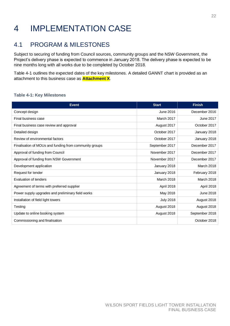## <span id="page-21-0"></span>4 IMPLEMENTATION CASE

### <span id="page-21-1"></span>4.1 PROGRAM & MILESTONES

Subject to securing of funding from Council sources, community groups and the NSW Government, the Project's delivery phase is expected to commence in January 2018. The delivery phase is expected to be nine months long with all works due to be completed by October 2018.

[Table 4-1](#page-21-2) outlines the expected dates of the key milestones. A detailed GANNT chart is provided as an attachment to this business case as **Attachment X**.

#### <span id="page-21-2"></span>**Table 4-1: Key Milestones**

| <b>Event</b>                                           | <b>Start</b>      | <b>Finish</b>     |
|--------------------------------------------------------|-------------------|-------------------|
| Concept design                                         | June 2016         | December 2016     |
| Final business case                                    | <b>March 2017</b> | <b>June 2017</b>  |
| Final business case review and approval                | August 2017       | October 2017      |
| Detailed design                                        | October 2017      | January 2018      |
| Review of environmental factors                        | October 2017      | January 2018      |
| Finalisation of MOUs and funding from community groups | September 2017    | December 2017     |
| Approval of funding from Council                       | November 2017     | December 2017     |
| Approval of funding from NSW Government                | November 2017     | December 2017     |
| Development application                                | January 2018      | <b>March 2018</b> |
| Request for tender                                     | January 2018      | February 2018     |
| Evaluation of tenders                                  | <b>March 2018</b> | <b>March 2018</b> |
| Agreement of terms with preferred supplier             | April 2018        | April 2018        |
| Power supply upgrades and preliminary field works      | May 2018          | <b>June 2018</b>  |
| Installation of field light towers                     | <b>July 2018</b>  | August 2018       |
| Testing                                                | August 2018       | August 2018       |
| Update to online booking system                        | August 2018       | September 2018    |
| Commissioning and finalisation                         |                   | October 2018      |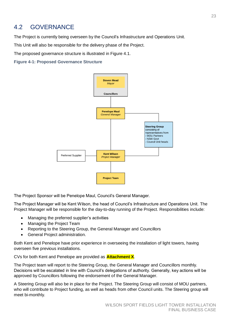### <span id="page-22-0"></span>4.2 GOVERNANCE

The Project is currently being overseen by the Council's Infrastructure and Operations Unit.

This Unit will also be responsible for the delivery phase of the Project.

The proposed governance structure is illustrated in Figure 4.1.

**Figure 4-1: Proposed Governance Structure**



The Project Sponsor will be Penelope Maul, Council's General Manager.

The Project Manager will be Kent Wilson, the head of Council's Infrastructure and Operations Unit. The Project Manager will be responsible for the day-to-day running of the Project. Responsibilities include:

- Managing the preferred supplier's activities
- Managing the Project Team
- Reporting to the Steering Group, the General Manager and Councillors
- General Project administration.

Both Kent and Penelope have prior experience in overseeing the installation of light towers, having overseen five previous installations.

CVs for both Kent and Penelope are provided as **Attachment X**.

The Project team will report to the Steering Group, the General Manager and Councillors monthly. Decisions will be escalated in line with Council's delegations of authority. Generally, key actions will be approved by Councillors following the endorsement of the General Manager.

A Steering Group will also be in place for the Project. The Steering Group will consist of MOU partners, who will contribute to Project funding, as well as heads from other Council units. The Steering group will meet bi-monthly.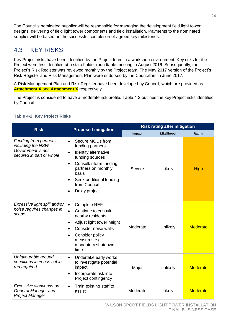The Council's nominated supplier will be responsible for managing the development field light tower designs, delivering of field light tower components and field installation. Payments to the nominated supplier will be based on the successful completion of agreed key milestones.

## <span id="page-23-0"></span>4.3 KEY RISKS

Key Project risks have been identified by the Project team in a workshop environment. Key risks for the Project were first identified at a stakeholder roundtable meeting in August 2016. Subsequently, the Project's Risk Register was reviewed monthly by the Project team. The May 2017 version of the Project's Risk Register and Risk Management Plan were endorsed by the Councillors in June 2017.

A Risk Management Plan and Risk Register have been developed by Council, which are provided as **Attachment X** and **Attachment X** respectively.

The Project is considered to have a moderate risk profile. [Table 4-2](#page-23-1) outlines the key Project risks identified by Council:

| <b>Risk</b>                                                                                  |                                                                                                                                                                                                                                                           | <b>Risk rating after mitigation</b> |            |                 |  |
|----------------------------------------------------------------------------------------------|-----------------------------------------------------------------------------------------------------------------------------------------------------------------------------------------------------------------------------------------------------------|-------------------------------------|------------|-----------------|--|
|                                                                                              | <b>Proposed mitigation</b>                                                                                                                                                                                                                                | Impact                              | Likelihood | Rating          |  |
| Funding from partners,<br>including the NSW<br>Government is not<br>secured in part or whole | Secure MOUs from<br>$\bullet$<br>funding partners<br>Identify alternative<br>$\bullet$<br>funding sources<br>Consult/inform funding<br>$\bullet$<br>partners on monthly<br>basis<br>Seek additional funding<br>$\bullet$<br>from Council<br>Delay project | Severe                              | Likely     | <b>High</b>     |  |
| Excessive light spill and/or<br>noise requires changes in<br>scope                           | <b>Complete REF</b><br>$\bullet$<br>Continue to consult<br>$\bullet$<br>nearby residents<br>Adjust light tower height<br>$\bullet$<br>Consider noise walls<br>Consider policy<br>$\bullet$<br>measures e.g.<br>mandatory shutdown<br>time                 | Moderate                            | Unlikely   | <b>Moderate</b> |  |
| Unfavourable ground<br>conditions increase cable<br>run required                             | Undertake early works<br>$\bullet$<br>to investigate potential<br>impact<br>Incorporate risk into<br>$\bullet$<br>Project contingency                                                                                                                     | Major                               | Unlikely   | <b>Moderate</b> |  |
| Excessive workloads on<br>General Manager and<br><b>Project Manager</b>                      | Train existing staff to<br>$\bullet$<br>assist                                                                                                                                                                                                            | Moderate                            | Likely     | <b>Moderate</b> |  |

#### <span id="page-23-1"></span>**Table 4-2: Key Project Risks**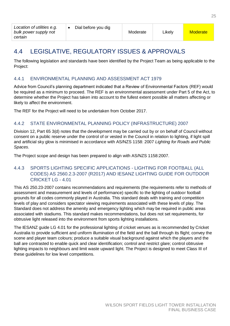## <span id="page-24-0"></span>4.4 LEGISLATIVE, REGULATORY ISSUES & APPROVALS

The following legislation and standards have been identified by the Project Team as being applicable to the Project:

#### 4.4.1 ENVIRONMENTAL PLANNING AND ASSESSMENT ACT 1979

Advice from Council's planning department indicated that a Review of Environmental Factors (REF) would be required as a minimum to proceed. The REF is an environmental assessment under Part 5 of the Act, to determine whether the Project has taken into account to the fullest extent possible all matters affecting or likely to affect the environment.

The REF for the Project will need to be undertaken from October 2017.

#### 4.4.2 STATE ENVIRONMENTAL PLANNING POLICY (INFRASTRUCTURE) 2007

Division 12, Part 65 3(d) notes that the development may be carried out by or on behalf of Council without consent on a public reserve under the control of or vested in the Council in relation to lighting, if light spill and artificial sky glow is minimised in accordance with AS/NZS 1158: 2007 *Lighting for Roads and Public Spaces.*

The Project scope and design has been prepared to align with AS/NZS 1158:2007.

#### 4.4.3 SPORTS LIGHTING SPECIFIC APPLICATIONS - LIGHTING FOR FOOTBALL (ALL CODES) AS 2560.2.3-2007 (R2017) AND IESANZ LIGHTING GUIDE FOR OUTDOOR CRICKET LG - 4.01

This AS 250.23-2007 contains recommendations and requirements (the requirements refer to methods of assessment and measurement and levels of performance) specific to the lighting of outdoor football grounds for all codes commonly played in Australia. This standard deals with training and competition levels of play and considers spectator viewing requirements associated with these levels of play. The Standard does not address the amenity and emergency lighting which may be required in public areas associated with stadiums. This standard makes recommendations, but does not set requirements, for obtrusive light released into the environment from sports lighting installations.

<span id="page-24-1"></span>The IESANZ guide LG 4.01 for the professional lighting of cricket venues as is recommended by Cricket Australia to provide sufficient and uniform illumination of the field and the ball through its flight; convey the scene and player team colours; produce a suitable visual background against which the players and the ball are contrasted to enable quick and clear identification; control and restrict glare; control obtrusive lighting impacts to neighbours and limit waste upward light. The Project is designed to meet Class III of these guidelines for low level competitions.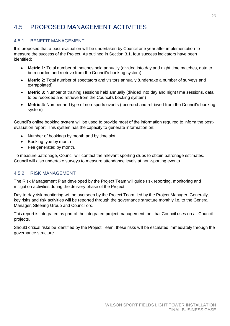## 4.5 PROPOSED MANAGEMENT ACTIVITIES

#### 4.5.1 BENEFIT MANAGEMENT

It is proposed that a post-evaluation will be undertaken by Council one year after implementation to measure the success of the Project. As outlined in Section 3.1, four success indicators have been identified:

- **Metric 1:** Total number of matches held annually (divided into day and night time matches, data to be recorded and retrieve from the Council's booking system)
- **Metric 2:** Total number of spectators and visitors annually (undertake a number of surveys and extrapolated)
- **Metric 3:** Number of training sessions held annually (divided into day and night time sessions, data to be recorded and retrieve from the Council's booking system)
- **Metric 4:** Number and type of non-sports events (recorded and retrieved from the Council's booking system)

Council's online booking system will be used to provide most of the information required to inform the postevaluation report. This system has the capacity to generate information on:

- Number of bookings by month and by time slot
- Booking type by month
- Fee generated by month.

To measure patronage, Council will contact the relevant sporting clubs to obtain patronage estimates. Council will also undertake surveys to measure attendance levels at non-sporting events.

#### 4.5.2 RISK MANAGEMENT

The Risk Management Plan developed by the Project Team will guide risk reporting, monitoring and mitigation activities during the delivery phase of the Project.

Day-to-day risk monitoring will be overseen by the Project Team, led by the Project Manager. Generally, key risks and risk activities will be reported through the governance structure monthly i.e. to the General Manager, Steering Group and Councillors.

This report is integrated as part of the integrated project management tool that Council uses on all Council projects.

Should critical risks be identified by the Project Team, these risks will be escalated immediately through the governance structure.